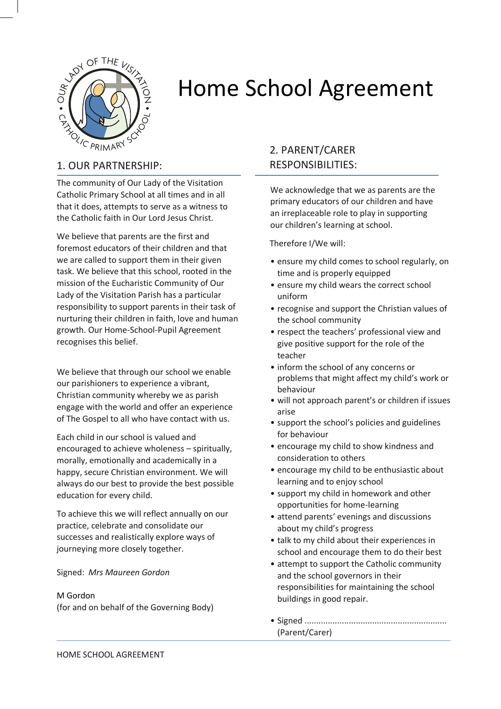

# Home School Agreement

The community of Our Lady of the Visitation Catholic Primary School at all times and in all that it does, attempts to serve as a witness to the Catholic faith in Our Lord Jesus Christ.

We believe that parents are the first and foremost educators of their children and that we are called to support them in their given task. We believe that this school, rooted in the mission of the Eucharistic Community of Our Lady of the Visitation Parish has a particular responsibility to support parents in their task of nurturing their children in faith, love and human growth. Our Home-School-Pupil Agreement recognises this belief.

We believe that through our school we enable our parishioners to experience a vibrant, Christian community whereby we as parish engage with the world and offer an experience of The Gospel to all who have contact with us.

Each child in our school is valued and encouraged to achieve wholeness – spiritually, morally, emotionally and academically in a happy, secure Christian environment. We will always do our best to provide the best possible education for every child.

To achieve this we will reflect annually on our practice, celebrate and consolidate our successes and realistically explore ways of journeying more closely together.

Signed: *Mrs Maureen Gordon*

#### M Gordon

(for and on behalf of the Governing Body)

# 2. PARENT/CARER RESPONSIBILITIES:

We acknowledge that we as parents are the primary educators of our children and have an irreplaceable role to play in supporting our children's learning at school.

Therefore I/We will:

- ensure my child comes to school regularly, on time and is properly equipped
- ensure my child wears the correct school uniform
- recognise and support the Christian values of the school community
- respect the teachers' professional view and give positive support for the role of the teacher
- inform the school of any concerns or problems that might affect my child's work or behaviour
- will not approach parent's or children if issues arise
- support the school's policies and guidelines for behaviour
- encourage my child to show kindness and consideration to others
- encourage my child to be enthusiastic about learning and to enjoy school
- support my child in homework and other opportunities for home-learning
- attend parents' evenings and discussions about my child's progress
- talk to my child about their experiences in school and encourage them to do their best
- attempt to support the Catholic community and the school governors in their responsibilities for maintaining the school buildings in good repair.
- Signed ............................................................. (Parent/Carer)